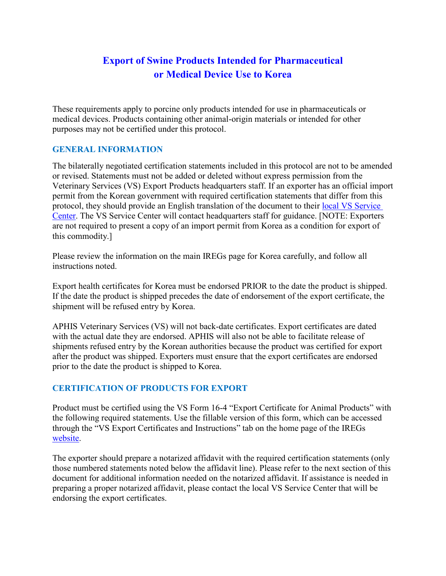## **Export of Swine Products Intended for Pharmaceutical or Medical Device Use to Korea**

These requirements apply to porcine only products intended for use in pharmaceuticals or medical devices. Products containing other animal-origin materials or intended for other purposes may not be certified under this protocol.

## **GENERAL INFORMATION**

The bilaterally negotiated certification statements included in this protocol are not to be amended or revised. Statements must not be added or deleted without express permission from the Veterinary Services (VS) Export Products headquarters staff. If an exporter has an official import permit from the Korean government with required certification statements that differ from this protocol, they should provide an English translation of the document to their local VS Service [Center.](https://www.aphis.usda.gov/animal_health/contacts/field-operations-export-trade.pdf) The VS Service Center will contact headquarters staff for guidance. [NOTE: Exporters are not required to present a copy of an import permit from Korea as a condition for export of this commodity.]

Please review the information on the main IREGs page for Korea carefully, and follow all instructions noted.

Export health certificates for Korea must be endorsed PRIOR to the date the product is shipped. If the date the product is shipped precedes the date of endorsement of the export certificate, the shipment will be refused entry by Korea.

APHIS Veterinary Services (VS) will not back-date certificates. Export certificates are dated with the actual date they are endorsed. APHIS will also not be able to facilitate release of shipments refused entry by the Korean authorities because the product was certified for export after the product was shipped. Exporters must ensure that the export certificates are endorsed prior to the date the product is shipped to Korea.

## **CERTIFICATION OF PRODUCTS FOR EXPORT**

Product must be certified using the VS Form 16-4 "Export Certificate for Animal Products" with the following required statements. Use the fillable version of this form, which can be accessed through the "VS Export Certificates and Instructions" tab on the home page of the IREGs [website.](https://www.aphis.usda.gov/aphis/ourfocus/animalhealth/export/iregs-for-animal-product-exports/ct_iregs_animal_product_exports_home)

The exporter should prepare a notarized affidavit with the required certification statements (only those numbered statements noted below the affidavit line). Please refer to the next section of this document for additional information needed on the notarized affidavit. If assistance is needed in preparing a proper notarized affidavit, please contact the local VS Service Center that will be endorsing the export certificates.